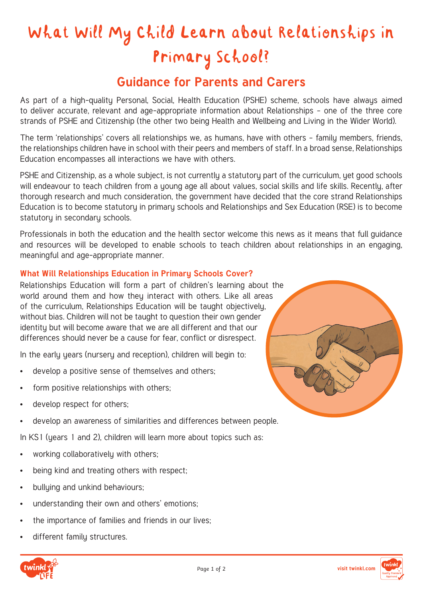# What Will My Child Learn about Relationships in Primary School?

# **Guidance for Parents and Carers**

As part of a high-quality Personal, Social, Health Education (PSHE) scheme, schools have always aimed to deliver accurate, relevant and age-appropriate information about Relationships – one of the three core strands of PSHE and Citizenship (the other two being Health and Wellbeing and Living in the Wider World).

The term 'relationships' covers all relationships we, as humans, have with others – family members, friends, the relationships children have in school with their peers and members of staff. In a broad sense, Relationships Education encompasses all interactions we have with others.

PSHE and Citizenship, as a whole subject, is not currently a statutory part of the curriculum, yet good schools will endeavour to teach children from a young age all about values, social skills and life skills. Recently, after thorough research and much consideration, the government have decided that the core strand Relationships Education is to become statutory in primary schools and Relationships and Sex Education (RSE) is to become statutoru in secondaru schools.

Professionals in both the education and the health sector welcome this news as it means that full guidance and resources will be developed to enable schools to teach children about relationships in an engaging, meaningful and age-appropriate manner.

### **What Will Relationships Education in Primary Schools Cover?**

Relationships Education will form a part of children's learning about the world around them and how they interact with others. Like all areas of the curriculum, Relationships Education will be taught objectively, without bias. Children will not be taught to question their own gender identity but will become aware that we are all different and that our differences should never be a cause for fear, conflict or disrespect.

In the early years (nursery and reception), children will begin to:

- develop a positive sense of themselves and others;
- form positive relationships with others:
- develop respect for others;
- develop an awareness of similarities and differences between people.

In KS1 (years 1 and 2), children will learn more about topics such as:

- working collaboratively with others;
- being kind and treating others with respect;
- bullying and unkind behaviours;
- understanding their own and others' emotions;
- the importance of families and friends in our lives;
- different family structures.